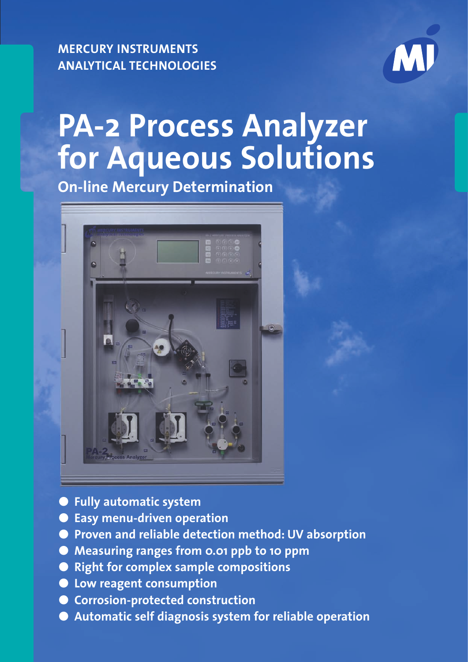**MERCURY INSTRUMENTS ANALYTICAL TECHNOLOGIES**



# **PA-2 Process Analyzer for Aqueous Solutions**

**On-line Mercury Determination**



- **Fully automatic system**
- **Easy menu-driven operation**
- **Proven and reliable detection method: UV absorption**
- Measuring ranges from 0.01 ppb to 10 ppm
- **Right for complex sample compositions**
- **Low reagent consumption**
- **Corrosion-protected construction**
- **Automatic self diagnosis system for reliable operation**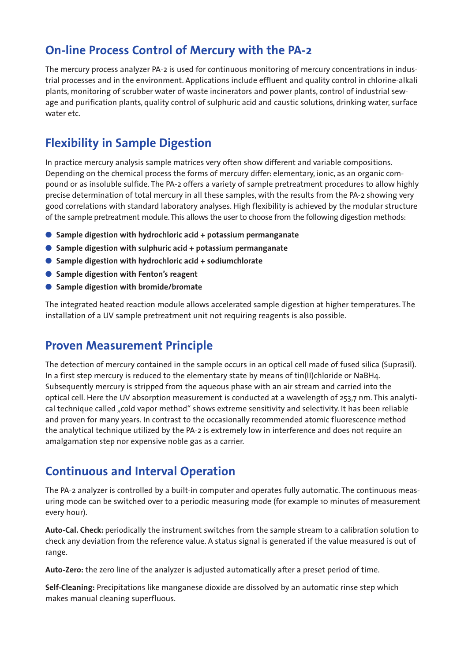#### **On-line Process Control of Mercury with the PA-2**

The mercury process analyzer PA-2 is used for continuous monitoring of mercury concentrations in industrial processes and in the environment. Applications include effluent and quality control in chlorine-alkali plants, monitoring of scrubber water of waste incinerators and power plants, control of industrial sewage and purification plants, quality control of sulphuric acid and caustic solutions, drinking water, surface water etc.

#### **Flexibility in Sample Digestion**

In practice mercury analysis sample matrices very often show different and variable compositions. Depending on the chemical process the forms of mercury differ: elementary, ionic, as an organic compound or as insoluble sulfide. The PA-2 offers a variety of sample pretreatment procedures to allow highly precise determination of total mercury in all these samples, with the results from the PA-2 showing very good correlations with standard laboratory analyses. High flexibility is achieved by the modular structure of the sample pretreatment module. This allows the user to choose from the following digestion methods:

- Sample digestion with hydrochloric acid + potassium permanganate
- Sample digestion with sulphuric acid + potassium permanganate
- Sample digestion with hydrochloric acid + sodiumchlorate
- Sample digestion with Fenton's reagent
- ● **Sample digestion with bromide/bromate**

The integrated heated reaction module allows accelerated sample digestion at higher temperatures. The installation of a UV sample pretreatment unit not requiring reagents is also possible.

#### **Proven Measurement Principle**

The detection of mercury contained in the sample occurs in an optical cell made of fused silica (Suprasil). In a first step mercury is reduced to the elementary state by means of tin(II)chloride or NaBH4. Subsequently mercury is stripped from the aqueous phase with an air stream and carried into the optical cell. Here the UV absorption measurement is conducted at a wavelength of 253,7 nm. This analytical technique called "cold vapor method" shows extreme sensitivity and selectivity. It has been reliable and proven for many years. In contrast to the occasionally recommended atomic fluorescence method the analytical technique utilized by the PA-2 is extremely low in interference and does not require an amalgamation step nor expensive noble gas as a carrier.

#### **Continuous and Interval Operation**

The PA-2 analyzer is controlled by a built-in computer and operates fully automatic. The continuous measuring mode can be switched over to a periodic measuring mode (for example 10 minutes of measurement every hour).

**Auto-Cal. Check:** periodically the instrument switches from the sample stream to a calibration solution to check any deviation from the reference value. A status signal is generated if the value measured is out of range.

**Auto-Zero:** the zero line of the analyzer is adjusted automatically after a preset period of time.

**Self-Cleaning:** Precipitations like manganese dioxide are dissolved by an automatic rinse step which makes manual cleaning superfluous.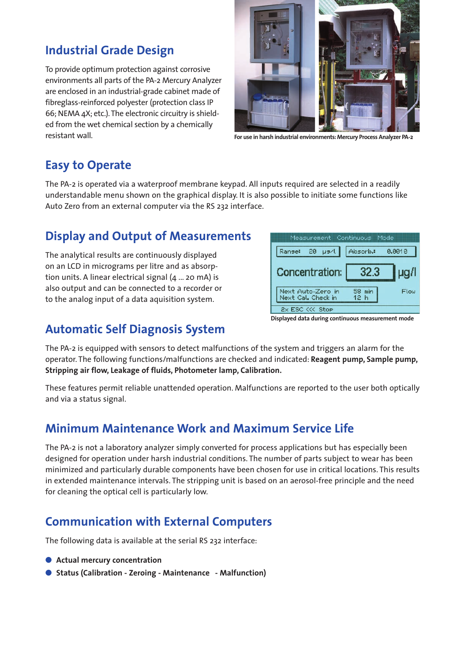#### **Industrial Grade Design**

To provide optimum protection against corrosive environments all parts of the PA-2 Mercury Analyzer are enclosed in an industrial-grade cabinet made of fibreglass-reinforced polyester (protection class IP 66; NEMA 4X; etc.). The electronic circuitry is shielded from the wet chemical section by a chemically resistant wall.



**For use in harsh industrial environments: Mercury Process Analyzer PA-2**

## **Easy to Operate**

The PA-2 is operated via a waterproof membrane keypad. All inputs required are selected in a readily understandable menu shown on the graphical display. It is also possible to initiate some functions like Auto Zero from an external computer via the RS 232 interface.

#### **Display and Output of Measurements**

The analytical results are continuously displayed on an LCD in micrograms per litre and as absorption units. A linear electrical signal (4 ... 20 mA) is also output and can be connected to a recorder or to the analog input of a data aquisition system.



#### **Automatic Self Diagnosis System**

**Displayed data during continuous measurement mode**

The PA-2 is equipped with sensors to detect malfunctions of the system and triggers an alarm for the operator. The following functions/malfunctions are checked and indicated: **Reagent pump, Sample pump, Stripping air flow, Leakage of fluids, Photometer lamp, Calibration.**

These features permit reliable unattended operation. Malfunctions are reported to the user both optically and via a status signal.

## **Minimum Maintenance Work and Maximum Service Life**

The PA-2 is not a laboratory analyzer simply converted for process applications but has especially been designed for operation under harsh industrial conditions. The number of parts subject to wear has been minimized and particularly durable components have been chosen for use in critical locations. This results in extended maintenance intervals. The stripping unit is based on an aerosol-free principle and the need for cleaning the optical cell is particularly low.

## **Communication with External Computers**

The following data is available at the serial RS 232 interface:

- **●** Actual mercury concentration
- Status (Calibration Zeroing Maintenance Malfunction)